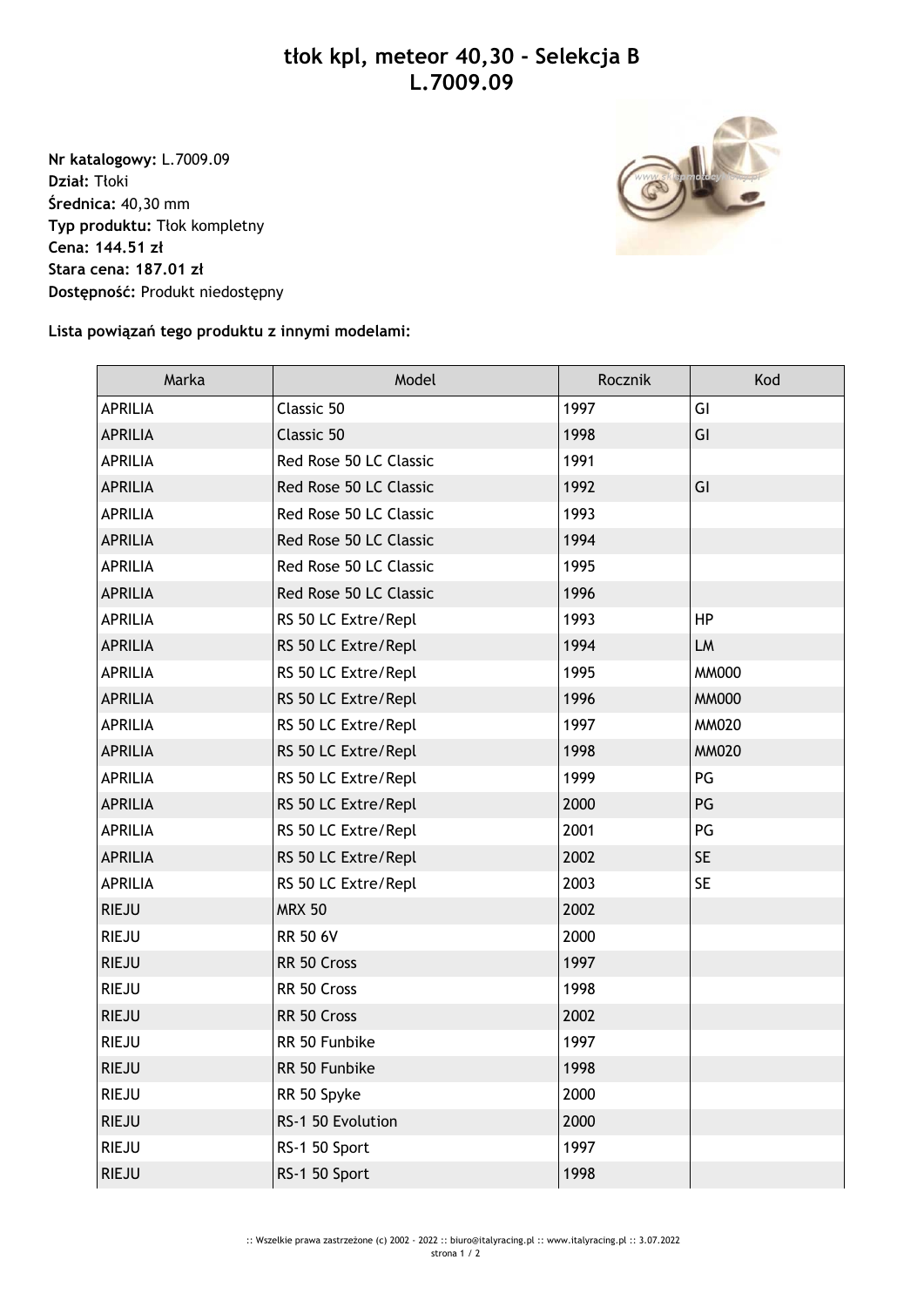## **tłok kpl, meteor 40,30 - Selekcja B L.7009.09**

**Nr katalogowy:** L.7009.09 **Dział:** Tłoki **Średnica:** 40,30 mm **Typ produktu:** Tłok kompletny **Cena: 144.51 zł Stara cena: 187.01 zł Dostępność:** Produkt niedostępny



## **Lista powiązań tego produktu z innymi modelami:**

| Marka          | Model                  | Rocznik | Kod          |
|----------------|------------------------|---------|--------------|
| <b>APRILIA</b> | Classic 50             | 1997    | GI           |
| <b>APRILIA</b> | Classic 50             | 1998    | GI           |
| <b>APRILIA</b> | Red Rose 50 LC Classic | 1991    |              |
| <b>APRILIA</b> | Red Rose 50 LC Classic | 1992    | GI           |
| <b>APRILIA</b> | Red Rose 50 LC Classic | 1993    |              |
| <b>APRILIA</b> | Red Rose 50 LC Classic | 1994    |              |
| <b>APRILIA</b> | Red Rose 50 LC Classic | 1995    |              |
| <b>APRILIA</b> | Red Rose 50 LC Classic | 1996    |              |
| <b>APRILIA</b> | RS 50 LC Extre/Repl    | 1993    | <b>HP</b>    |
| <b>APRILIA</b> | RS 50 LC Extre/Repl    | 1994    | LM           |
| <b>APRILIA</b> | RS 50 LC Extre/Repl    | 1995    | <b>MM000</b> |
| <b>APRILIA</b> | RS 50 LC Extre/Repl    | 1996    | <b>MM000</b> |
| <b>APRILIA</b> | RS 50 LC Extre/Repl    | 1997    | <b>MM020</b> |
| <b>APRILIA</b> | RS 50 LC Extre/Repl    | 1998    | <b>MM020</b> |
| <b>APRILIA</b> | RS 50 LC Extre/Repl    | 1999    | PG           |
| <b>APRILIA</b> | RS 50 LC Extre/Repl    | 2000    | PG           |
| <b>APRILIA</b> | RS 50 LC Extre/Repl    | 2001    | PG           |
| <b>APRILIA</b> | RS 50 LC Extre/Repl    | 2002    | <b>SE</b>    |
| <b>APRILIA</b> | RS 50 LC Extre/Repl    | 2003    | <b>SE</b>    |
| <b>RIEJU</b>   | <b>MRX 50</b>          | 2002    |              |
| <b>RIEJU</b>   | <b>RR 50 6V</b>        | 2000    |              |
| <b>RIEJU</b>   | RR 50 Cross            | 1997    |              |
| <b>RIEJU</b>   | RR 50 Cross            | 1998    |              |
| <b>RIEJU</b>   | RR 50 Cross            | 2002    |              |
| <b>RIEJU</b>   | RR 50 Funbike          | 1997    |              |
| <b>RIEJU</b>   | RR 50 Funbike          | 1998    |              |
| <b>RIEJU</b>   | RR 50 Spyke            | 2000    |              |
| <b>RIEJU</b>   | RS-1 50 Evolution      | 2000    |              |
| <b>RIEJU</b>   | RS-1 50 Sport          | 1997    |              |
| <b>RIEJU</b>   | RS-1 50 Sport          | 1998    |              |